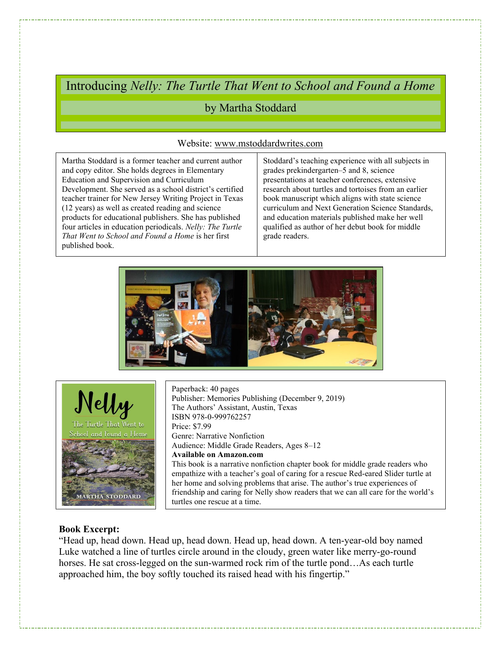Introducing Nelly: The Turtle That Went to School and Found a Home

# by Martha Stoddard

### Website: www.mstoddardwrites.com

 and copy editor. She holds degrees in Elementary (12 years) as well as created reading and science Martha Stoddard is a former teacher and current author Education and Supervision and Curriculum Development. She served as a school district's certified teacher trainer for New Jersey Writing Project in Texas products for educational publishers. She has published four articles in education periodicals. Nelly: The Turtle That Went to School and Found a Home is her first published book.

Stoddard's teaching experience with all subjects in grades prekindergarten–5 and 8, science presentations at teacher conferences, extensive research about turtles and tortoises from an earlier book manuscript which aligns with state science curriculum and Next Generation Science Standards, and education materials published make her well qualified as author of her debut book for middle grade readers.





Paperback: 40 pages Publisher: Memories Publishing (December 9, 2019) The Authors' Assistant, Austin, Texas ISBN 978-0-999762257 Price: \$7.99 Genre: Narrative Nonfiction Audience: Middle Grade Readers, Ages 8–12 Available on Amazon.com This book is a narrative nonfiction chapter book for middle grade readers who empathize with a teacher's goal of caring for a rescue Red-eared Slider turtle at her home and solving problems that arise. The author's true experiences of friendship and caring for Nelly show readers that we can all care for the world's turtles one rescue at a time.

# Book Excerpt:

"Head up, head down. Head up, head down. Head up, head down. A ten-year-old boy named Luke watched a line of turtles circle around in the cloudy, green water like merry-go-round horses. He sat cross-legged on the sun-warmed rock rim of the turtle pond...As each turtle approached him, the boy softly touched its raised head with his fingertip."